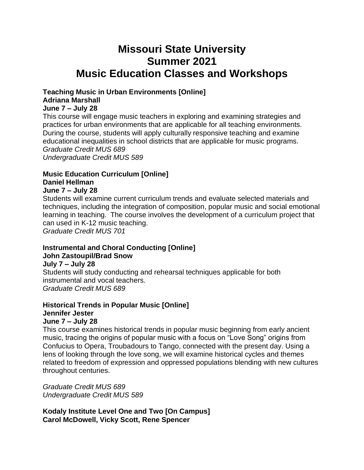# **Missouri State University Summer 2021 Music Education Classes and Workshops**

## **Teaching Music in Urban Environments [Online] Adriana Marshall**

### **June 7 – July 28**

This course will engage music teachers in exploring and examining strategies and practices for urban environments that are applicable for all teaching environments. During the course, students will apply culturally responsive teaching and examine educational inequalities in school districts that are applicable for music programs. *Graduate Credit MUS 689 Undergraduate Credit MUS 589*

### **Music Education Curriculum [Online] Daniel Hellman**

# **June 7 – July 28**

Students will examine current curriculum trends and evaluate selected materials and techniques, including the integration of composition, popular music and social emotional learning in teaching. The course involves the development of a curriculum project that can used in K-12 music teaching. *Graduate Credit MUS 701*

### **Instrumental and Choral Conducting [Online] John Zastoupil/Brad Snow**

### **July 7 – July 28**

Students will study conducting and rehearsal techniques applicable for both instrumental and vocal teachers. *Graduate Credit MUS 689*

#### **Historical Trends in Popular Music [Online] Jennifer Jester June 7 – July 28**

This course examines historical trends in popular music beginning from early ancient music, tracing the origins of popular music with a focus on "Love Song" origins from Confucius to Opera, Troubadours to Tango, connected with the present day. Using a lens of looking through the love song, we will examine historical cycles and themes related to freedom of expression and oppressed populations blending with new cultures throughout centuries.

*Graduate Credit MUS 689 Undergraduate Credit MUS 589*

**Kodaly Institute Level One and Two [On Campus] Carol McDowell, Vicky Scott, Rene Spencer**